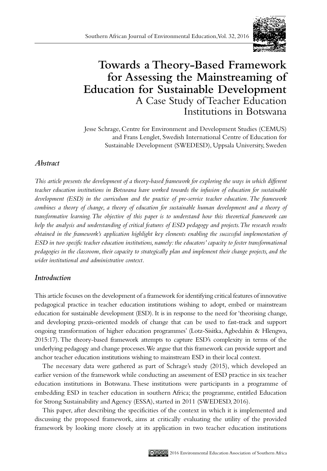

# **Towards a Theory-Based Framework for Assessing the Mainstreaming of Education for Sustainable Development** A Case Study of Teacher Education Institutions in Botswana

Jesse Schrage, Centre for Environment and Development Studies (CEMUS) and Frans Lenglet, Swedish International Centre of Education for Sustainable Development (SWEDESD), Uppsala University, Sweden

# *Abstract*

*This article presents the development of a theory-based framework for exploring the ways in which different teacher education institutions in Botswana have worked towards the infusion of education for sustainable development (ESD) in the curriculum and the practice of pre-service teacher education. The framework*  combines a theory of change, a theory of education for sustainable human development and a theory of *transformative learning. The objective of this paper is to understand how this theoretical framework can help the analysis and understanding of critical features of ESD pedagogy and projects. The research results obtained in the framework's application highlight key elements enabling the successful implementation of ESD in two specific teacher education institutions, namely: the educators' capacity to foster transformational pedagogies in the classroom, their capacity to strategically plan and implement their change projects, and the wider institutional and administrative context.* 

# *Introduction*

This article focuses on the development of a framework for identifying critical features of innovative pedagogical practice in teacher education institutions wishing to adopt, embed or mainstream education for sustainable development (ESD). It is in response to the need for 'theorising change, and developing praxis-oriented models of change that can be used to fast-track and support ongoing transformation of higher education programmes' (Lotz-Sisitka, Agbedahin & Hlengwa, 2015:17). The theory-based framework attempts to capture ESD's complexity in terms of the underlying pedagogy and change processes. We argue that this framework can provide support and anchor teacher education institutions wishing to mainstream ESD in their local context.

The necessary data were gathered as part of Schrage's study (2015), which developed an earlier version of the framework while conducting an assessment of ESD practice in six teacher education institutions in Botswana. These institutions were participants in a programme of embedding ESD in teacher education in southern Africa; the programme, entitled Education for Strong Sustainability and Agency (ESSA), started in 2011 (SWEDESD, 2016).

This paper, after describing the specificities of the context in which it is implemented and discussing the proposed framework, aims at critically evaluating the utility of the provided framework by looking more closely at its application in two teacher education institutions

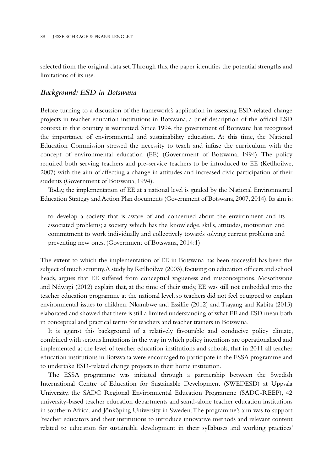selected from the original data set. Through this, the paper identifies the potential strengths and limitations of its use.

#### *Background: ESD in Botswana*

Before turning to a discussion of the framework's application in assessing ESD-related change projects in teacher education institutions in Botswana, a brief description of the official ESD context in that country is warranted. Since 1994, the government of Botswana has recognised the importance of environmental and sustainability education. At this time, the National Education Commission stressed the necessity to teach and infuse the curriculum with the concept of environmental education (EE) (Government of Botswana, 1994). The policy required both serving teachers and pre-service teachers to be introduced to EE (Ketlhoilwe, 2007) with the aim of affecting a change in attitudes and increased civic participation of their students (Government of Botswana, 1994).

Today, the implementation of EE at a national level is guided by the National Environmental Education Strategy and Action Plan documents (Government of Botswana, 2007, 2014). Its aim is:

to develop a society that is aware of and concerned about the environment and its associated problems; a society which has the knowledge, skills, attitudes, motivation and commitment to work individually and collectively towards solving current problems and preventing new ones. (Government of Botswana, 2014:1)

The extent to which the implementation of EE in Botswana has been successful has been the subject of much scrutiny. A study by Ketlhoilwe (2003), focusing on education officers and school heads, argues that EE suffered from conceptual vagueness and misconceptions. Mosothwane and Ndwapi (2012) explain that, at the time of their study, EE was still not embedded into the teacher education programme at the national level, so teachers did not feel equipped to explain environmental issues to children. Nkambwe and Essilfie (2012) and Tsayang and Kabita (2013) elaborated and showed that there is still a limited understanding of what EE and ESD mean both in conceptual and practical terms for teachers and teacher trainers in Botswana.

It is against this background of a relatively favourable and conducive policy climate, combined with serious limitations in the way in which policy intentions are operationalised and implemented at the level of teacher education institutions and schools, that in 2011 all teacher education institutions in Botswana were encouraged to participate in the ESSA programme and to undertake ESD-related change projects in their home institution.

The ESSA programme was initiated through a partnership between the Swedish International Centre of Education for Sustainable Development (SWEDESD) at Uppsala University, the SADC Regional Environmental Education Programme (SADC-REEP), 42 university-based teacher education departments and stand-alone teacher education institutions in southern Africa, and Jönköping University in Sweden. The programme's aim was to support 'teacher educators and their institutions to introduce innovative methods and relevant content related to education for sustainable development in their syllabuses and working practices'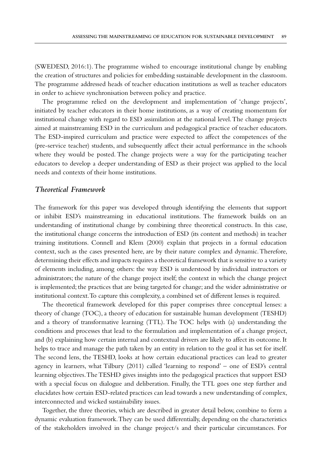(SWEDESD, 2016:1). The programme wished to encourage institutional change by enabling the creation of structures and policies for embedding sustainable development in the classroom. The programme addressed heads of teacher education institutions as well as teacher educators in order to achieve synchronisation between policy and practice.

The programme relied on the development and implementation of 'change projects', initiated by teacher educators in their home institutions, as a way of creating momentum for institutional change with regard to ESD assimilation at the national level. The change projects aimed at mainstreaming ESD in the curriculum and pedagogical practice of teacher educators. The ESD-inspired curriculum and practice were expected to affect the competences of the (pre-service teacher) students, and subsequently affect their actual performance in the schools where they would be posted. The change projects were a way for the participating teacher educators to develop a deeper understanding of ESD as their project was applied to the local needs and contexts of their home institutions.

## *Theoretical Framework*

The framework for this paper was developed through identifying the elements that support or inhibit ESD's mainstreaming in educational institutions. The framework builds on an understanding of institutional change by combining three theoretical constructs. In this case, the institutional change concerns the introduction of ESD (its content and methods) in teacher training institutions. Connell and Klem (2000) explain that projects in a formal education context, such as the cases presented here, are by their nature complex and dynamic. Therefore, determining their effects and impacts requires a theoretical framework that is sensitive to a variety of elements including, among others: the way ESD is understood by individual instructors or administrators; the nature of the change project itself; the context in which the change project is implemented; the practices that are being targeted for change; and the wider administrative or institutional context. To capture this complexity, a combined set of different lenses is required.

The theoretical framework developed for this paper comprises three conceptual lenses: a theory of change (TOC), a theory of education for sustainable human development (TESHD) and a theory of transformative learning (TTL). The TOC helps with (a) understanding the conditions and processes that lead to the formulation and implementation of a change project, and (b) explaining how certain internal and contextual drivers are likely to affect its outcome. It helps to trace and manage the path taken by an entity in relation to the goal it has set for itself. The second lens, the TESHD, looks at how certain educational practices can lead to greater agency in learners, what Tilbury (2011) called 'learning to respond' – one of ESD's central learning objectives. The TESHD gives insights into the pedagogical practices that support ESD with a special focus on dialogue and deliberation. Finally, the TTL goes one step further and elucidates how certain ESD-related practices can lead towards a new understanding of complex, interconnected and wicked sustainability issues.

Together, the three theories, which are described in greater detail below, combine to form a dynamic evaluation framework. They can be used differentially, depending on the characteristics of the stakeholders involved in the change project/s and their particular circumstances. For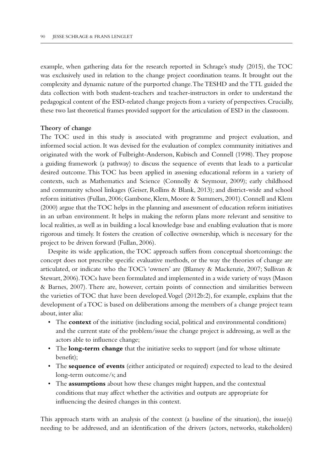example, when gathering data for the research reported in Schrage's study (2015), the TOC was exclusively used in relation to the change project coordination teams. It brought out the complexity and dynamic nature of the purported change. The TESHD and the TTL guided the data collection with both student-teachers and teacher-instructors in order to understand the pedagogical content of the ESD-related change projects from a variety of perspectives. Crucially, these two last theoretical frames provided support for the articulation of ESD in the classroom.

#### **Theory of change**

The TOC used in this study is associated with programme and project evaluation, and informed social action. It was devised for the evaluation of complex community initiatives and originated with the work of Fulbright-Anderson, Kubisch and Connell (1998). They propose a guiding framework (a pathway) to discuss the sequence of events that leads to a particular desired outcome. This TOC has been applied in assessing educational reform in a variety of contexts, such as Mathematics and Science (Connolly & Seymour, 2009); early childhood and community school linkages (Geiser, Rollins & Blank, 2013); and district-wide and school reform initiatives (Fullan, 2006; Gambone, Klem, Moore & Summers, 2001). Connell and Klem (2000) argue that the TOC helps in the planning and assessment of education reform initiatives in an urban environment. It helps in making the reform plans more relevant and sensitive to local realities, as well as in building a local knowledge base and enabling evaluation that is more rigorous and timely. It fosters the creation of collective ownership, which is necessary for the project to be driven forward (Fullan, 2006).

Despite its wide application, the TOC approach suffers from conceptual shortcomings: the concept does not prescribe specific evaluative methods, or the way the theories of change are articulated, or indicate who the TOC's 'owners' are (Blamey & Mackenzie, 2007; Sullivan & Stewart, 2006). TOCs have been formulated and implemented in a wide variety of ways (Mason & Barnes, 2007). There are, however, certain points of connection and similarities between the varieties of TOC that have been developed. Vogel (2012b:2), for example, explains that the development of a TOC is based on deliberations among the members of a change project team about, inter alia:

- The **context** of the initiative (including social, political and environmental conditions) and the current state of the problem/issue the change project is addressing, as well as the actors able to influence change;
- The **long-term change** that the initiative seeks to support (and for whose ultimate benefit);
- The **sequence of events** (either anticipated or required) expected to lead to the desired long-term outcome/s; and
- The **assumptions** about how these changes might happen, and the contextual conditions that may affect whether the activities and outputs are appropriate for influencing the desired changes in this context.

This approach starts with an analysis of the context (a baseline of the situation), the issue(s) needing to be addressed, and an identification of the drivers (actors, networks, stakeholders)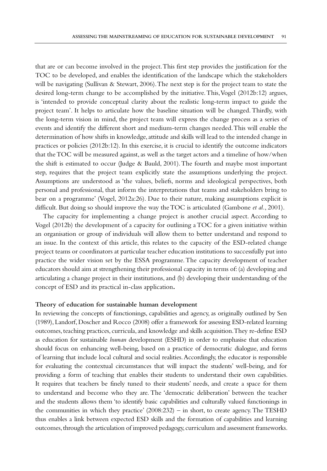that are or can become involved in the project. This first step provides the justification for the TOC to be developed, and enables the identification of the landscape which the stakeholders will be navigating (Sullivan & Stewart, 2006). The next step is for the project team to state the desired long-term change to be accomplished by the initiative. This, Vogel (2012b:12) argues, is 'intended to provide conceptual clarity about the realistic long-term impact to guide the project team'. It helps to articulate how the baseline situation will be changed. Thirdly, with the long-term vision in mind, the project team will express the change process as a series of events and identify the different short and medium-term changes needed. This will enable the determination of how shifts in knowledge, attitude and skills will lead to the intended change in practices or policies (2012b:12). In this exercise, it is crucial to identify the outcome indicators that the TOC will be measured against, as well as the target actors and a timeline of how/when the shift is estimated to occur (Judge & Bauld, 2001). The fourth and maybe most important step, requires that the project team explicitly state the assumptions underlying the project. Assumptions are understood as 'the values, beliefs, norms and ideological perspectives, both personal and professional, that inform the interpretations that teams and stakeholders bring to bear on a programme' (Vogel, 2012a:26). Due to their nature, making assumptions explicit is difficult. But doing so should improve the way the TOC is articulated (Gambone *et al.*, 2001).

The capacity for implementing a change project is another crucial aspect. According to Vogel (2012b) the development of a capacity for outlining a TOC for a given initiative within an organisation or group of individuals will allow them to better understand and respond to an issue. In the context of this article, this relates to the capacity of the ESD-related change project teams or coordinators at particular teacher education institutions to successfully put into practice the wider vision set by the ESSA programme. The capacity development of teacher educators should aim at strengthening their professional capacity in terms of: (a) developing and articulating a change project in their institutions, and (b) developing their understanding of the concept of ESD and its practical in-class application**.** 

#### **Theory of education for sustainable human development**

In reviewing the concepts of functionings, capabilities and agency, as originally outlined by Sen (1989), Landorf, Doscher and Rocco (2008) offer a framework for assessing ESD-related learning outcomes, teaching practices, curricula, and knowledge and skills acquisition. They re-define ESD as education for sustainable *human* development (ESHD) in order to emphasise that education should focus on enhancing well-being, based on a practice of democratic dialogue, and forms of learning that include local cultural and social realities. Accordingly, the educator is responsible for evaluating the contextual circumstances that will impact the students' well-being, and for providing a form of teaching that enables their students to understand their own capabilities. It requires that teachers be finely tuned to their students' needs, and create a space for them to understand and become who they are. The 'democratic deliberation' between the teacher and the students allows them 'to identify basic capabilities and culturally valued functionings in the communities in which they practice' (2008:232) – in short, to create agency. The TESHD thus enables a link between expected ESD skills and the formation of capabilities and learning outcomes, through the articulation of improved pedagogy, curriculum and assessment frameworks.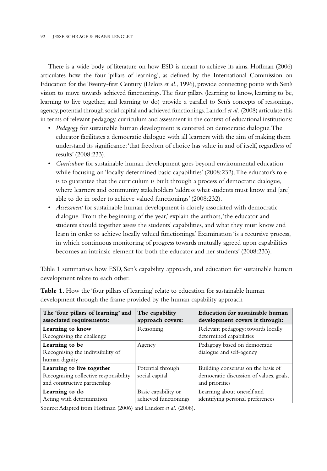There is a wide body of literature on how ESD is meant to achieve its aims. Hoffman (2006) articulates how the four 'pillars of learning', as defined by the International Commission on Education for the Twenty-first Century (Delors *et al.*, 1996), provide connecting points with Sen's vision to move towards achieved functionings. The four pillars (learning to know, learning to be, learning to live together, and learning to do) provide a parallel to Sen's concepts of reasonings, agency, potential through social capital and achieved functionings. Landorf *et al.* (2008) articulate this in terms of relevant pedagogy, curriculum and assessment in the context of educational institutions:

- *Pedagogy* for sustainable human development is centered on democratic dialogue. The educator facilitates a democratic dialogue with all learners with the aim of making them understand its significance: 'that freedom of choice has value in and of itself, regardless of results' (2008:233).
- *Curriculum* for sustainable human development goes beyond environmental education while focusing on 'locally determined basic capabilities' (2008:232). The educator's role is to guarantee that the curriculum is built through a process of democratic dialogue, where learners and community stakeholders 'address what students must know and [are] able to do in order to achieve valued functionings' (2008:232).
- *Assessment* for sustainable human development is closely associated with democratic dialogue. 'From the beginning of the year,' explain the authors, 'the educator and students should together assess the students' capabilities, and what they must know and learn in order to achieve locally valued functionings.' Examination 'is a recursive process, in which continuous monitoring of progress towards mutually agreed upon capabilities becomes an intrinsic element for both the educator and her students' (2008:233).

Table 1 summarises how ESD, Sen's capability approach, and education for sustainable human development relate to each other.

| The 'four pillars of learning' and<br>associated requirements:                                     | The capability<br>approach covers:           | Education for sustainable human<br>development covers it through:                               |
|----------------------------------------------------------------------------------------------------|----------------------------------------------|-------------------------------------------------------------------------------------------------|
| Learning to know<br>Recognising the challenge                                                      | Reasoning                                    | Relevant pedagogy: towards locally<br>determined capabilities                                   |
| Learning to be<br>Recognising the indivisibility of<br>human dignity                               | Agency                                       | Pedagogy based on democratic<br>dialogue and self-agency                                        |
| Learning to live together<br>Recognising collective responsibility<br>and constructive partnership | Potential through<br>social capital          | Building consensus on the basis of<br>democratic discussion of values, goals,<br>and priorities |
| Learning to do<br>Acting with determination                                                        | Basic capability or<br>achieved functionings | Learning about oneself and<br>identifying personal preferences                                  |

**Table 1.** How the 'four pillars of learning' relate to education for sustainable human development through the frame provided by the human capability approach

Source: Adapted from Hoffman (2006) and Landorf *et al.* (2008).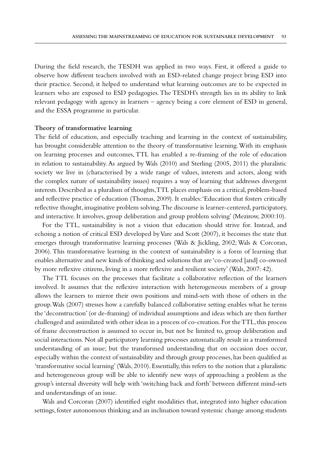During the field research, the TESDH was applied in two ways. First, it offered a guide to observe how different teachers involved with an ESD-related change project bring ESD into their practice. Second, it helped to understand what learning outcomes are to be expected in learners who are exposed to ESD pedagogies. The TESDH's strength lies in its ability to link relevant pedagogy with agency in learners – agency being a core element of ESD in general, and the ESSA programme in particular.

#### **Theory of transformative learning**

The field of education, and especially teaching and learning in the context of sustainability, has brought considerable attention to the theory of transformative learning. With its emphasis on learning processes and outcomes, TTL has enabled a re-framing of the role of education in relation to sustainability. As argued by Wals (2010) and Sterling (2005, 2011) the pluralistic society we live in (characterised by a wide range of values, interests and actors, along with the complex nature of sustainability issues) requires a way of learning that addresses divergent interests. Described as a pluralism of thoughts, TTL places emphasis on a critical, problem-based and reflective practice of education (Thomas, 2009). It enables: 'Education that fosters critically reflective thought, imaginative problem solving. The discourse is learner-centered, participatory, and interactive. It involves, group deliberation and group problem solving' (Mezirow, 2000:10).

For the TTL, sustainability is not a vision that education should strive for. Instead, and echoing a notion of critical ESD developed by Vare and Scott (2007), it becomes the state that emerges through transformative learning processes (Wals & Jickling, 2002; Wals & Corcoran, 2006). This transformative learning in the context of sustainability is a form of learning that enables alternative and new kinds of thinking and solutions that are 'co-created [and] co-owned by more reflexive citizens, living in a more reflexive and resilient society' (Wals, 2007: 42).

The TTL focuses on the processes that facilitate a collaborative reflection of the learners involved. It assumes that the reflexive interaction with heterogeneous members of a group allows the learners to mirror their own positions and mind-sets with those of others in the group. Wals (2007) stresses how a carefully balanced collaborative setting enables what he terms the 'deconstruction' (or de-framing) of individual assumptions and ideas which are then further challenged and assimilated with other ideas in a process of co-creation. For the TTL, this process of frame deconstruction is assumed to occur in, but not be limited to, group deliberation and social interactions. Not all participatory learning processes automatically result in a transformed understanding of an issue; but the transformed understanding that on occasion does occur, especially within the context of sustainability and through group processes, has been qualified as 'transformative social learning' (Wals, 2010). Essentially, this refers to the notion that a pluralistic and heterogeneous group will be able to identify new ways of approaching a problem as the group's internal diversity will help with 'switching back and forth' between different mind-sets and understandings of an issue.

Wals and Corcoran (2007) identified eight modalities that, integrated into higher education settings, foster autonomous thinking and an inclination toward systemic change among students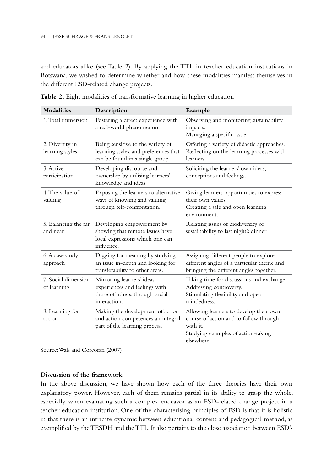and educators alike (see Table 2). By applying the TTL in teacher education institutions in Botswana, we wished to determine whether and how these modalities manifest themselves in the different ESD-related change projects.

| <b>Modalities</b>                  | Description                                                                                                    | Example                                                                                                                                          |
|------------------------------------|----------------------------------------------------------------------------------------------------------------|--------------------------------------------------------------------------------------------------------------------------------------------------|
| 1. Total immersion                 | Fostering a direct experience with<br>a real-world phenomenon.                                                 | Observing and monitoring sustainability<br>impacts.<br>Managing a specific issue.                                                                |
| 2. Diversity in<br>learning styles | Being sensitive to the variety of<br>learning styles, and preferences that<br>can be found in a single group.  | Offering a variety of didactic approaches.<br>Reflecting on the learning processes with<br>learners.                                             |
| 3. Active<br>participation         | Developing discourse and<br>ownership by utilising learners'<br>knowledge and ideas.                           | Soliciting the learners' own ideas,<br>conceptions and feelings.                                                                                 |
| 4. The value of<br>valuing         | Exposing the learners to alternative<br>ways of knowing and valuing<br>through self-confrontation.             | Giving learners opportunities to express<br>their own values.<br>Creating a safe and open learning<br>environment.                               |
| 5. Balancing the far<br>and near   | Developing empowerment by<br>showing that remote issues have<br>local expressions which one can<br>influence.  | Relating issues of biodiversity or<br>sustainability to last night's dinner.                                                                     |
| 6. A case study<br>approach        | Digging for meaning by studying<br>an issue in-depth and looking for<br>transferability to other areas.        | Assigning different people to explore<br>different angles of a particular theme and<br>bringing the different angles together.                   |
| 7. Social dimension<br>of learning | Mirroring learners' ideas,<br>experiences and feelings with<br>those of others, through social<br>interaction. | Taking time for discussions and exchange.<br>Addressing controversy.<br>Stimulating flexibility and open-<br>mindedness.                         |
| 8. Learning for<br>action          | Making the development of action<br>and action competences an integral<br>part of the learning process.        | Allowing learners to develop their own<br>course of action and to follow through<br>with it.<br>Studying examples of action-taking<br>elsewhere. |

**Table 2.** Eight modalities of transformative learning in higher education

Source: Wals and Corcoran (2007)

#### **Discussion of the framework**

In the above discussion, we have shown how each of the three theories have their own explanatory power. However, each of them remains partial in its ability to grasp the whole, especially when evaluating such a complex endeavor as an ESD-related change project in a teacher education institution. One of the characterising principles of ESD is that it is holistic in that there is an intricate dynamic between educational content and pedagogical method, as exemplified by the TESDH and the TTL. It also pertains to the close association between ESD's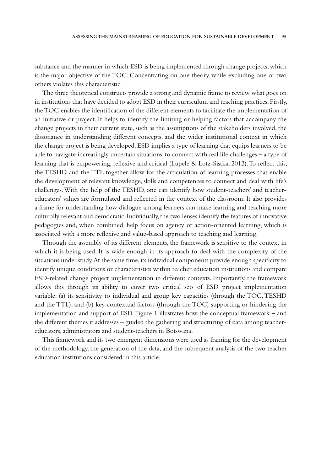substance and the manner in which ESD is being implemented through change projects, which is the major objective of the TOC. Concentrating on one theory while excluding one or two others violates this characteristic.

The three theoretical constructs provide a strong and dynamic frame to review what goes on in institutions that have decided to adopt ESD in their curriculum and teaching practices. Firstly, the TOC enables the identification of the different elements to facilitate the implementation of an initiative or project. It helps to identify the limiting or helping factors that accompany the change projects in their current state, such as the assumptions of the stakeholders involved, the dissonance in understanding different concepts, and the wider institutional context in which the change project is being developed. ESD implies a type of learning that equips learners to be able to navigate increasingly uncertain situations, to connect with real life challenges – a type of learning that is empowering, reflexive and critical (Lupele & Lotz-Sistka, 2012). To reflect this, the TESHD and the TTL together allow for the articulation of learning processes that enable the development of relevant knowledge, skills and competences to connect and deal with life's challenges. With the help of the TESHD, one can identify how student-teachers' and teachereducators' values are formulated and reflected in the context of the classroom. It also provides a frame for understanding how dialogue among learners can make learning and teaching more culturally relevant and democratic. Individually, the two lenses identify the features of innovative pedagogies and, when combined, help focus on agency or action-oriented learning, which is associated with a more reflexive and value-based approach to teaching and learning.

Through the assembly of its different elements, the framework is sensitive to the context in which it is being used. It is wide enough in its approach to deal with the complexity of the situations under study. At the same time, its individual components provide enough specificity to identify unique conditions or characteristics within teacher education institutions and compare ESD-related change project implementation in different contexts. Importantly, the framework allows this through its ability to cover two critical sets of ESD project implementation variable: (a) its sensitivity to individual and group key capacities (through the TOC, TESHD and the TTL); and (b) key contextual factors (through the TOC) supporting or hindering the implementation and support of ESD. Figure 1 illustrates how the conceptual framework – and the different themes it addresses – guided the gathering and structuring of data among teachereducators, administrators and student-teachers in Botswana.

This framework and its two emergent dimensions were used as framing for the development of the methodology, the generation of the data, and the subsequent analysis of the two teacher education institutions considered in this article.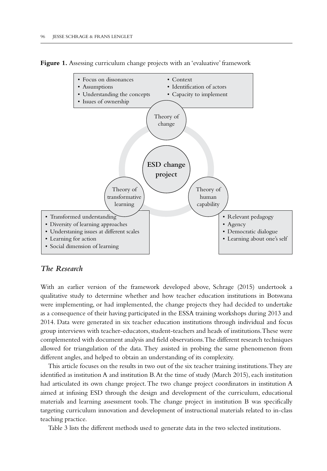Figure 1. Assessing curriculum change projects with an 'evaluative' framework



# *The Research*

With an earlier version of the framework developed above, Schrage (2015) undertook a qualitative study to determine whether and how teacher education institutions in Botswana were implementing, or had implemented, the change projects they had decided to undertake as a consequence of their having participated in the ESSA training workshops during 2013 and 2014. Data were generated in six teacher education institutions through individual and focus group interviews with teacher-educators, student-teachers and heads of institutions. These were complemented with document analysis and field observations. The different research techniques allowed for triangulation of the data. They assisted in probing the same phenomenon from different angles, and helped to obtain an understanding of its complexity.

This article focuses on the results in two out of the six teacher training institutions. They are identified as institution A and institution B. At the time of study (March 2015), each institution had articulated its own change project. The two change project coordinators in institution A aimed at infusing ESD through the design and development of the curriculum, educational materials and learning assessment tools. The change project in institution B was specifically targeting curriculum innovation and development of instructional materials related to in-class teaching practice.

Table 3 lists the different methods used to generate data in the two selected institutions.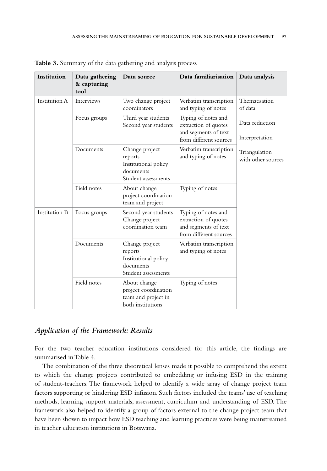| Institution          | Data gathering<br>& capturing<br>tool | Data source                                                                           | Data familiarisation                                                                          | Data analysis                       |
|----------------------|---------------------------------------|---------------------------------------------------------------------------------------|-----------------------------------------------------------------------------------------------|-------------------------------------|
| <b>Institution A</b> | <b>Interviews</b>                     | Two change project<br>coordinators                                                    | Verbatim transcription<br>and typing of notes                                                 | Thematisation<br>of data            |
|                      | Focus groups                          | Third year students<br>Second year students                                           | Typing of notes and<br>extraction of quotes                                                   | Data reduction                      |
|                      |                                       |                                                                                       | and segments of text<br>from different sources                                                | Interpretation                      |
|                      | Documents                             | Change project<br>reports<br>Institutional policy<br>documents<br>Student assessments | Verbatim transcription<br>and typing of notes                                                 | Triangulation<br>with other sources |
|                      | Field notes                           | About change<br>project coordination<br>team and project                              | Typing of notes                                                                               |                                     |
| Institution B        | Focus groups                          | Second year students<br>Change project<br>coordination team                           | Typing of notes and<br>extraction of quotes<br>and segments of text<br>from different sources |                                     |
|                      | Documents                             | Change project<br>reports<br>Institutional policy<br>documents<br>Student assessments | Verbatim transcription<br>and typing of notes                                                 |                                     |
|                      | Field notes                           | About change<br>project coordination<br>team and project in<br>both institutions      | Typing of notes                                                                               |                                     |

**Table 3.** Summary of the data gathering and analysis process

# *Application of the Framework: Results*

For the two teacher education institutions considered for this article, the findings are summarised in Table 4.

The combination of the three theoretical lenses made it possible to comprehend the extent to which the change projects contributed to embedding or infusing ESD in the training of student-teachers. The framework helped to identify a wide array of change project team factors supporting or hindering ESD infusion. Such factors included the teams' use of teaching methods, learning support materials, assessment, curriculum and understanding of ESD. The framework also helped to identify a group of factors external to the change project team that have been shown to impact how ESD teaching and learning practices were being mainstreamed in teacher education institutions in Botswana.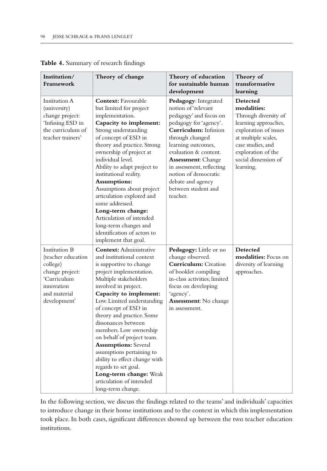| Institution/<br>Framework                                                                                                       | Theory of change                                                                                                                                                                                                                                                                                                                                                                                                                                                                                                                                               | Theory of education<br>for sustainable human<br>development                                                                                                                                                                                                                                                                         | Theory of<br>transformative<br>learning                                                                                                                                                                |
|---------------------------------------------------------------------------------------------------------------------------------|----------------------------------------------------------------------------------------------------------------------------------------------------------------------------------------------------------------------------------------------------------------------------------------------------------------------------------------------------------------------------------------------------------------------------------------------------------------------------------------------------------------------------------------------------------------|-------------------------------------------------------------------------------------------------------------------------------------------------------------------------------------------------------------------------------------------------------------------------------------------------------------------------------------|--------------------------------------------------------------------------------------------------------------------------------------------------------------------------------------------------------|
| Institution A<br>(university)<br>change project:<br>'Infusing ESD in<br>the curriculum of<br>teacher trainers'                  | <b>Context:</b> Favourable<br>but limited for project<br>implementation.<br>Capacity to implement:<br>Strong understanding<br>of concept of ESD in<br>theory and practice. Strong<br>ownership of project at<br>individual level.<br>Ability to adapt project to<br>institutional reality.<br>Assumptions:<br>Assumptions about project<br>articulation explored and<br>some addressed.<br>Long-term change:<br>Articulation of intended<br>long-term changes and<br>identification of actors to<br>implement that goal.                                       | Pedagogy: Integrated<br>notion of 'relevant<br>pedagogy' and focus on<br>pedagogy for 'agency'.<br>Curriculum: Infusion<br>through changed<br>learning outcomes,<br>evaluation & content.<br><b>Assessment:</b> Change<br>in assessment, reflecting<br>notion of democratic<br>debate and agency<br>between student and<br>teacher. | Detected<br>modalities:<br>Through diversity of<br>learning approaches,<br>exploration of issues<br>at multiple scales,<br>case studies, and<br>exploration of the<br>social dimension of<br>learning. |
| Institution B<br>(teacher education<br>college)<br>change project:<br>'Curriculum<br>innovation<br>and material<br>development' | <b>Context:</b> Administrative<br>and institutional context<br>is supportive to change<br>project implementation.<br>Multiple stakeholders<br>involved in project.<br>Capacity to implement:<br>Low. Limited understanding<br>of concept of ESD in<br>theory and practice. Some<br>dissonances between<br>members. Low ownership<br>on behalf of project team.<br><b>Assumptions: Several</b><br>assumptions pertaining to<br>ability to effect change with<br>regards to set goal.<br>Long-term change: Weak<br>articulation of intended<br>long-term change. | Pedagogy: Little or no<br>change observed.<br><b>Curriculum:</b> Creation<br>of booklet compiling<br>in-class activities; limited<br>focus on developing<br>'agency'.<br>Assessment: No change<br>in assessment.                                                                                                                    | Detected<br><b>modalities:</b> Focus on<br>diversity of learning<br>approaches.                                                                                                                        |

**Table 4.** Summary of research findings

In the following section, we discuss the findings related to the teams' and individuals' capacities to introduce change in their home institutions and to the context in which this implementation took place. In both cases, significant differences showed up between the two teacher education institutions.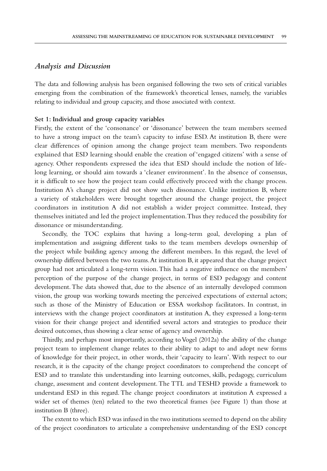## *Analysis and Discussion*

The data and following analysis has been organised following the two sets of critical variables emerging from the combination of the framework's theoretical lenses, namely, the variables relating to individual and group capacity, and those associated with context.

### **Set 1: Individual and group capacity variables**

Firstly, the extent of the 'consonance' or 'dissonance' between the team members seemed to have a strong impact on the team's capacity to infuse ESD. At institution B, there were clear differences of opinion among the change project team members. Two respondents explained that ESD learning should enable the creation of 'engaged citizens' with a sense of agency. Other respondents expressed the idea that ESD should include the notion of lifelong learning, or should aim towards a 'cleaner environment'. In the absence of consensus, it is difficult to see how the project team could effectively proceed with the change process. Institution A's change project did not show such dissonance. Unlike institution B, where a variety of stakeholders were brought together around the change project, the project coordinators in institution A did not establish a wider project committee. Instead, they themselves initiated and led the project implementation. Thus they reduced the possibility for dissonance or misunderstanding.

Secondly, the TOC explains that having a long-term goal, developing a plan of implementation and assigning different tasks to the team members develops ownership of the project while building agency among the different members. In this regard, the level of ownership differed between the two teams. At institution B, it appeared that the change project group had not articulated a long-term vision. This had a negative influence on the members' perception of the purpose of the change project, in terms of ESD pedagogy and content development. The data showed that, due to the absence of an internally developed common vision, the group was working towards meeting the perceived expectations of external actors; such as those of the Ministry of Education or ESSA workshop facilitators. In contrast, in interviews with the change project coordinators at institution A, they expressed a long-term vision for their change project and identified several actors and strategies to produce their desired outcomes, thus showing a clear sense of agency and ownership.

Thirdly, and perhaps most importantly, according to Vogel (2012a) the ability of the change project team to implement change relates to their ability to adapt to and adopt new forms of knowledge for their project, in other words, their 'capacity to learn'. With respect to our research, it is the capacity of the change project coordinators to comprehend the concept of ESD and to translate this understanding into learning outcomes, skills, pedagogy, curriculum change, assessment and content development. The TTL and TESHD provide a framework to understand ESD in this regard. The change project coordinators at institution A expressed a wider set of themes (ten) related to the two theoretical frames (see Figure 1) than those at institution B (three).

The extent to which ESD was infused in the two institutions seemed to depend on the ability of the project coordinators to articulate a comprehensive understanding of the ESD concept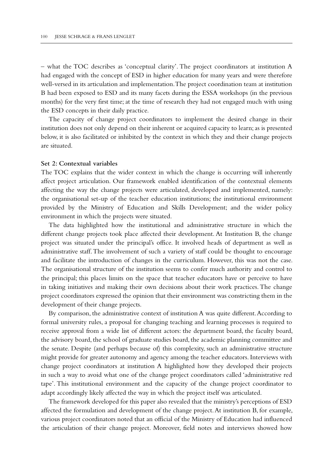– what the TOC describes as 'conceptual clarity'. The project coordinators at institution A had engaged with the concept of ESD in higher education for many years and were therefore well-versed in its articulation and implementation. The project coordination team at institution B had been exposed to ESD and its many facets during the ESSA workshops (in the previous months) for the very first time; at the time of research they had not engaged much with using the ESD concepts in their daily practice.

The capacity of change project coordinators to implement the desired change in their institution does not only depend on their inherent or acquired capacity to learn; as is presented below, it is also facilitated or inhibited by the context in which they and their change projects are situated.

#### **Set 2: Contextual variables**

The TOC explains that the wider context in which the change is occurring will inherently affect project articulation. Our framework enabled identification of the contextual elements affecting the way the change projects were articulated, developed and implemented, namely: the organisational set-up of the teacher education institutions; the institutional environment provided by the Ministry of Education and Skills Development; and the wider policy environment in which the projects were situated.

The data highlighted how the institutional and administrative structure in which the different change projects took place affected their development. At Institution B, the change project was situated under the principal's office. It involved heads of department as well as administrative staff. The involvement of such a variety of staff could be thought to encourage and facilitate the introduction of changes in the curriculum. However, this was not the case. The organisational structure of the institution seems to confer much authority and control to the principal; this places limits on the space that teacher educators have or perceive to have in taking initiatives and making their own decisions about their work practices. The change project coordinators expressed the opinion that their environment was constricting them in the development of their change projects.

By comparison, the administrative context of institution A was quite different. According to formal university rules, a proposal for changing teaching and learning processes is required to receive approval from a wide list of different actors: the department board, the faculty board, the advisory board, the school of graduate studies board, the academic planning committee and the senate. Despite (and perhaps because of) this complexity, such an administrative structure might provide for greater autonomy and agency among the teacher educators. Interviews with change project coordinators at institution A highlighted how they developed their projects in such a way to avoid what one of the change project coordinators called 'administrative red tape'. This institutional environment and the capacity of the change project coordinator to adapt accordingly likely affected the way in which the project itself was articulated.

The framework developed for this paper also revealed that the ministry's perceptions of ESD affected the formulation and development of the change project. At institution B, for example, various project coordinators noted that an official of the Ministry of Education had influenced the articulation of their change project. Moreover, field notes and interviews showed how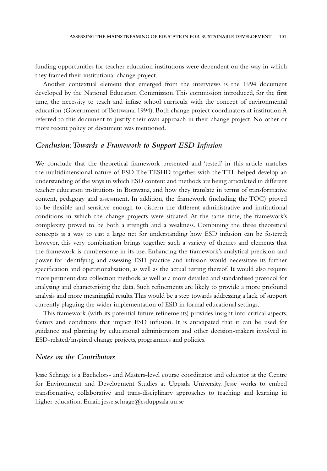funding opportunities for teacher education institutions were dependent on the way in which they framed their institutional change project.

Another contextual element that emerged from the interviews is the 1994 document developed by the National Education Commission. This commission introduced, for the first time, the necessity to teach and infuse school curricula with the concept of environmental education (Government of Botswana, 1994). Both change project coordinators at institution A referred to this document to justify their own approach in their change project. No other or more recent policy or document was mentioned.

## *Conclusion: Towards a Framework to Support ESD Infusion*

We conclude that the theoretical framework presented and 'tested' in this article matches the multidimensional nature of ESD. The TESHD together with the TTL helped develop an understanding of the ways in which ESD content and methods are being articulated in different teacher education institutions in Botswana, and how they translate in terms of transformative content, pedagogy and assessment. In addition, the framework (including the TOC) proved to be flexible and sensitive enough to discern the different administrative and institutional conditions in which the change projects were situated. At the same time, the framework's complexity proved to be both a strength and a weakness. Combining the three theoretical concepts is a way to cast a large net for understanding how ESD infusion can be fostered; however, this very combination brings together such a variety of themes and elements that the framework is cumbersome in its use. Enhancing the framework's analytical precision and power for identifying and assessing ESD practice and infusion would necessitate its further specification and operationalisation, as well as the actual testing thereof. It would also require more pertinent data collection methods, as well as a more detailed and standardised protocol for analysing and characterising the data. Such refinements are likely to provide a more profound analysis and more meaningful results. This would be a step towards addressing a lack of support currently plaguing the wider implementation of ESD in formal educational settings.

This framework (with its potential future refinements) provides insight into critical aspects, factors and conditions that impact ESD infusion. It is anticipated that it can be used for guidance and planning by educational administrators and other decision-makers involved in ESD-related/inspired change projects, programmes and policies.

## *Notes on the Contributors*

Jesse Schrage is a Bachelors- and Masters-level course coordinator and educator at the Centre for Environment and Development Studies at Uppsala University. Jesse works to embed transformative, collaborative and trans-disciplinary approaches to teaching and learning in higher education. Email: jesse.schrage@csduppsala.uu.se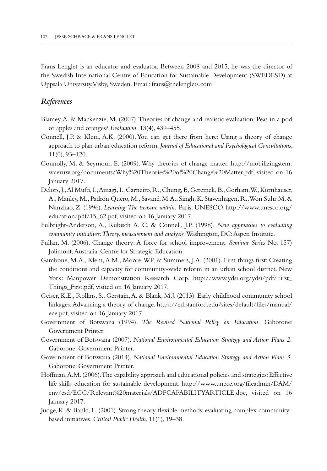Frans Lenglet is an educator and evaluator. Between 2008 and 2015, he was the director of the Swedish International Centre of Education for Sustainable Development (SWEDESD) at Uppsala University, Visby, Sweden. Email: frans@thelenglets.com

## *References*

- Blamey, A. & Mackenzie, M. (2007). Theories of change and realistic evaluation: Peas in a pod or apples and oranges? *Evaluation*, 13(4), 439–455.
- Connell, J.P. & Klem, A.K. (2000). You can get there from here: Using a theory of change approach to plan urban education reform. *Journal of Educational and Psychological Consultations*, 11(0), 93–120.
- Connolly, M. & Seymour, E. (2009). Why theories of change matter. [http://mobilizingstem.](http://mobilizingstem.wceruw.org/documents/Why%20Theories%20of%20Change%20Matter.pdf) [wceruw.org/documents/Why%20Theories%20of%20Change%20Matter.pdf](http://mobilizingstem.wceruw.org/documents/Why%20Theories%20of%20Change%20Matter.pdf), visited on 16 January 2017.
- Delors, J., Al Mufti, I., Amagi, I., Carneiro, R., Chung, F., Geremek, B., Gorham, W., Kornhauser, A., Manley, M., Padrón Quero, M., Savané, M.A., Singh, K. Stavenhagen, R., Won Suhr M. & Nanzhao, Z. (1996). *Learning: The treasure within.* Paris: UNESCO. [http://www.unesco.org/](http://www.unesco.org/education/pdf/15_62.pdf) [education/pdf/15\\_62.pdf](http://www.unesco.org/education/pdf/15_62.pdf), visited on 16 January 2017.
- Fulbright-Anderson, A., Kubisch A. C. & Connell, J.P. (1998). *New approaches to evaluating community initiatives: Theory, measurement and analysis.* Washington, DC: Aspen Institute.
- Fullan, M. (2006). Change theory: A force for school improvement. *Seminar Series* No. 157) Jolimont, Australia: Centre for Strategic Education.
- Gambone, M.A., Klem, A.M., Moore, W.P. & Summers, J.A. (2001). First things first: Creating the conditions and capacity for community-wide reform in an urban school district. New York: Manpower Demonstration Research Corp. [http://www.ydsi.org/ydsi/pdf/First\\_](http://www.ydsi.org/ydsi/pdf/First_Things_First.pdf) [Things\\_First.pdf,](http://www.ydsi.org/ydsi/pdf/First_Things_First.pdf) visited on 16 January 2017.
- Geiser, K.E., Rollins, S., Gerstain, A. & Blank, M.J. (2013). Early childhood community school linkages: Advancing a theory of change. [https://ed.stanford.edu/sites/default/files/manual/](https://ed.stanford.edu/sites/default/files/manual/ece.pdf) [ece.pdf,](https://ed.stanford.edu/sites/default/files/manual/ece.pdf) visited on 16 January 2017.
- Government of Botswana (1994). *The Revised National Policy on Education.* Gaborone: Government Printer.
- Government of Botswana (2007). *National Environmental Education Strategy and Action Plans 2.* Gaborone: Government Printer.
- Government of Botswana (2014). *National Environmental Education Strategy and Action Plans 3.* Gaborone: Government Printer.
- Hoffman, A.M. (2006). The capability approach and educational policies and strategies: Effective life skills education for sustainable development. [http://www.unece.org/fileadmin/DAM/](http://www.unece.org/fileadmin/DAM/env/esd/EGC/Relevant%20materials/ADFCAPABILITYARTICLE.doc) [env/esd/EGC/Relevant%20materials/ADFCAPABILITYARTICLE.doc](http://www.unece.org/fileadmin/DAM/env/esd/EGC/Relevant%20materials/ADFCAPABILITYARTICLE.doc), visited on 16 January 2017.
- Judge, K. & Bauld, L. (2001). Strong theory, flexible methods: evaluating complex communitybased initiatives. *Critical Public Health*, 11(1), 19–38.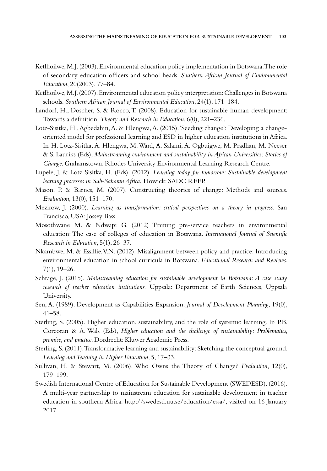- Ketlhoilwe, M.J. (2003). Environmental education policy implementation in Botswana: The role of secondary education officers and school heads. *Southern African Journal of Environmental Education*, 20(2003), 77–84.
- Ketlhoilwe, M.J. (2007). Environmental education policy interpretation: Challenges in Botswana schools. *Southern African Journal of Environmental Education*, 24(1), 171–184.
- Landorf, H., Doscher, S. & Rocco, T. (2008). Education for sustainable human development: Towards a definition. *Theory and Research in Education*, 6(0), 221–236.
- Lotz-Sisitka, H., Agbedahin, A. & Hlengwa, A. (2015). 'Seeding change': Developing a changeoriented model for professional learning and ESD in higher education institutions in Africa. In H. Lotz-Sisitka, A. Hlengwa, M. Ward, A. Salami, A. Ogbuigwe, M. Pradhan, M. Neeser & S. Lauriks (Eds), *Mainstreaming environment and sustainability in African Universities: Stories of Change*. Grahamstown: Rhodes University Environmental Learning Research Centre.
- Lupele, J. & Lotz-Sisitka, H. (Eds). (2012). *Learning today for tomorrow: Sustainable development learning processes in Sub-Saharan Africa.* Howick: SADC REEP.
- Mason, P. & Barnes, M. (2007). Constructing theories of change: Methods and sources. *Evaluation*, 13(0), 151–170.
- Mezirow, J. (2000). *Learning as transformation: critical perspectives on a theory in progress*. San Francisco, USA: Jossey Bass.
- Mosothwane M. & Ndwapi G. (2012) Training pre-service teachers in environmental education: The case of colleges of education in Botswana. *International Journal of Scientific Research in Education*, 5(1), 26–37.
- Nkambwe, M. & Essilfie, V.N. (2012). Misalignment between policy and practice: Introducing environmental education in school curricula in Botswana. *Educational Research and Reviews*, 7(1), 19–26.
- Schrage, J. (2015). *Mainstreaming education for sustainable development in Botswana: A case study research of teacher education institutions.* Uppsala: Department of Earth Sciences, Uppsala University.
- Sen, A. (1989). Development as Capabilities Expansion. *Journal of Development Planning*, 19(0), 41–58.
- Sterling, S. (2005). Higher education, sustainability, and the role of systemic learning. In P.B. Corcoran & A. Wals (Eds), *Higher education and the challenge of sustainability: Problematics, promise, and practice*. Dordrecht: Kluwer Academic Press.
- Sterling, S. (2011). Transformative learning and sustainability: Sketching the conceptual ground. *Learning and Teaching in Higher Education*, 5, 17–33.
- Sullivan, H. & Stewart, M. (2006). Who Owns the Theory of Change? *Evaluation*, 12(0), 179–199.
- Swedish International Centre of Education for Sustainable Development (SWEDESD). (2016). A multi-year partnership to mainstream education for sustainable development in teacher education in southern Africa. <http://swedesd.uu.se/education/essa/>, visited on 16 January 2017.